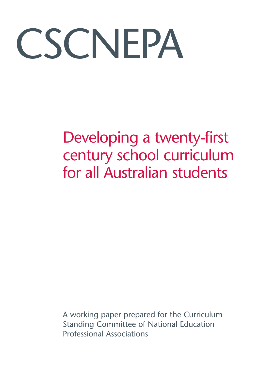# CSCNEPA

## Developing a twenty-first century school curriculum for all Australian students

A working paper prepared for the Curriculum Standing Committee of National Education Professional Associations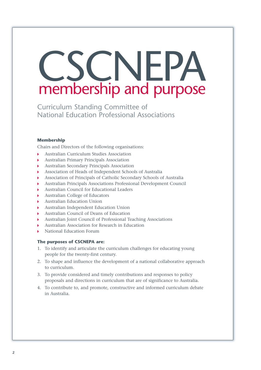# CSCNEPA membership and purpose

Curriculum Standing Committee of National Education Professional Associations

#### **Membership**

Chairs and Directors of the following organisations:

- Australian Curriculum Studies Association
- Australian Primary Principals Association
- Australian Secondary Principals Association
- Association of Heads of Independent Schools of Australia
- Association of Principals of Catholic Secondary Schools of Australia
- Australian Principals Associations Professional Development Council
- Australian Council for Educational Leaders
- Australian College of Educators
- Australian Education Union
- Australian Independent Education Union
- Australian Council of Deans of Education
- Australian Joint Council of Professional Teaching Associations
- Australian Association for Research in Education
- National Education Forum

#### **The purposes of CSCNEPA are:**

- 1. To identify and articulate the curriculum challenges for educating young people for the twenty-first century.
- 2. To shape and influence the development of a national collaborative approach to curriculum.
- 3. To provide considered and timely contributions and responses to policy proposals and directions in curriculum that are of significance to Australia.
- 4. To contribute to, and promote, constructive and informed curriculum debate in Australia.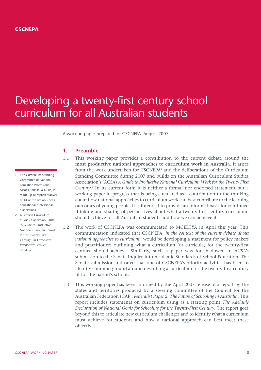#### **CSCNEPA**

### Developing a twenty-first century school curriculum for all Australian students

A working paper prepared for CSCNEPA, August 2007

#### **1. Preamble**

- 1.1 This working paper provides a contribution to the current debate around the **most productive national approaches to curriculum work in Australia**. It arises from the work undertaken for CSCNEPA1 and the deliberations of the Curriculum Standing Committee during 2007 and builds on the Australian Curriculum Studies Association's (ACSA) *A Guide to Productive National Curriculum Work for the Twenty First Century*. <sup>2</sup> In its current form it is neither a formal nor endorsed statement but a working paper in progress that is being circulated as a contribution to the thinking about how national approaches to curriculum work can best contribute to the learning outcomes of young people. It is intended to provide an informed basis for continued thinking and sharing of perspectives about what a twenty-first century curriculum should achieve for all Australian students and how we can achieve it.
- 1.2 The work of CSCNEPA was communicated to MCEETYA in April this year. This communication indicated that CSCNEPA, *in the context of the current debate about national approaches to curriculum*, would be developing a statement for policy makers and practitioners outlining what a curriculum (or curricula) for the twenty-first century should achieve. Similarly, such a paper was foreshadowed in ACSA's submission to the Senate Inquiry into Academic Standards of School Education. The Senate submission indicated that one of CSCNEPA's priority activities has been to identify common ground around describing a curriculum for the twenty-first century fit for the nation's schools.
- 1.3 This working paper has been informed by the April 2007 release of a report by the states and territories produced by a steering committee of the Council for the Australian Federation (CAF), *Federalist Paper 2: The Future of Schooling in Australia*. This report includes statements on curriculum using as a starting point *The Adelaide Declaration of National Goals for Schooling for the Twenty-First Century*. The report goes beyond this to articulate new curriculum challenges and to identify what a curriculum must achieve for students and how a national approach can best meet these objectives.
- 1 The Curriculum Standing Committee of National Education Professional Associations (CSCNEPA) is made up of representatives of 14 of the nation's peak educational professional associations.
- 2 Australian Curriculum Studies Association, 2006, 'A Guide to Productive National Curriculum Work for the Twenty First Century', in *Curriculum Perspectives*, vol. 26, no. 4, p. 5.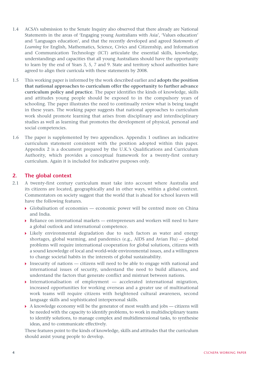- 1.4 ACSA's submission to the Senate Inquiry also observed that there already are National Statements in the areas of 'Engaging young Australians with Asia', 'Values education' and 'Languages education', and that the recently developed and agreed *Statements of Learning* for English, Mathematics, Science, Civics and Citizenship, and Information and Communication Technology (ICT) articulate the essential skills, knowledge, understandings and capacities that all young Australians should have the opportunity to learn by the end of Years 3, 5, 7 and 9. State and territory school authorities have agreed to align their curricula with these statements by 2008.
- 1.5 This working paper is informed by the work described earlier and **adopts the position that national approaches to curriculum offer the opportunity to further advance curriculum policy and practice**. The paper identifies the kinds of knowledge, skills and attitudes young people should be exposed to in the compulsory years of schooling. The paper illustrates the need to continually review what is being taught in these years. The working paper suggests that national approaches to curriculum work should promote learning that arises from disciplinary and interdisciplinary studies as well as learning that promotes the development of physical, personal and social competencies.
- 1.6 The paper is supplemented by two appendices. Appendix 1 outlines an indicative curriculum statement consistent with the position adopted within this paper. Appendix 2 is a document prepared by the U.K.'s Qualifications and Curriculum Authority, which provides a conceptual framework for a twenty-first century curriculum. Again it is included for indicative purposes only.

#### **2. The global context**

- 2.1 A twenty-first century curriculum must take into account where Australia and its citizens are located, geographically and in other ways, within a global context. Commentators on society suggest that the world that is ahead for school leavers will have the following features.
	- Globalisation of economies economic power will be centred more on China and India.
	- Reliance on international markets entrepreneurs and workers will need to have a global outlook and international competence.
	- Likely environmental degradation due to such factors as water and energy shortages, global warming, and pandemics (e.g., AIDS and Avian Flu) — global problems will require international cooperation for global solutions, citizens with a sound knowledge of local and world-wide environmental issues, and a willingness to change societal habits in the interests of global sustainability.
	- Insecurity of nations citizens will need to be able to engage with national and international issues of security, understand the need to build alliances, and understand the factors that generate conflict and mistrust between nations.
	- Internationalisation of employment  $-$  accelerated international migration, increased opportunities for working overseas and a greater use of multinational work teams will require citizens with heightened cultural awareness, second language skills and sophisticated interpersonal skills.
	- $\triangleright$  A knowledge economy will be the generator of most wealth and jobs citizens will be needed with the capacity to identify problems, to work in multidisciplinary teams to identify solutions, to manage complex and multidimensional tasks, to synthesise ideas, and to communicate effectively.

These features point to the kinds of knowledge, skills and attitudes that the curriculum should assist young people to develop.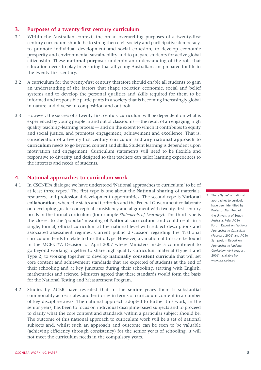#### **3. Purposes of a twenty-first century curriculum**

- 3.1 Within the Australian context, the broad overarching purposes of a twenty-first century curriculum should be to strengthen civil society and participative democracy, to promote individual development and social cohesion, to develop economic prosperity and environmental sustainability and to prepare students for active global citizenship. These **national purposes** underpin an understanding of the role that education needs to play in ensuring that all young Australians are prepared for life in the twenty-first century.
- 3.2 A curriculum for the twenty-first century therefore should enable all students to gain an understanding of the factors that shape societies' economic, social and belief systems and to develop the personal qualities and skills required for them to be informed and responsible participants in a society that is becoming increasingly global in nature and diverse in composition and outlook.
- 3.3 However, the success of a twenty-first century curriculum will be dependent on what is experienced by young people in and out of classrooms — the result of an engaging, high quality teaching–learning process — and on the extent to which it contributes to equity and social justice, and promotes engagement, achievement and excellence. That is, consideration of a twenty-first century curriculum and **any national approach to curriculum** needs to go beyond content and skills. Student learning is dependent upon motivation and engagement. Curriculum statements will need to be flexible and responsive to diversity and designed so that teachers can tailor learning experiences to the interests and needs of students.

#### **4. National approaches to curriculum work**

- 4.1 In CSCNEPA dialogue we have understood 'National approaches to curriculum' to be of at least three types.3 The first type is one about the **National sharing** of materials, resources, and professional development opportunities. The second type is **National collaboration**, where the states and territories and the Federal Government collaborate on developing greater conceptual consistency and alignment with twenty-first century needs in the formal curriculum (for example *Statements of Learning*). The third type is the closest to the 'popular' meaning of **National curriculum**, and could result in a single, formal, official curriculum at the national level with subject descriptions and associated assessment regimes. Current public discussion regarding the 'National curriculum' tends to relate to this third type. However, a variation of this can be found in the MCEETYA Decision of April 2007 where Ministers made a commitment to go beyond working together to share high quality curriculum material (Type 1 and Type 2) to working together to develop **nationally consistent curricula** that will set core content and achievement standards that are expected of students at the end of their schooling and at key junctures during their schooling, starting with English, mathematics and science. Ministers agreed that these standards would form the basis for the National Testing and Measurement Program.
- 4.2 Studies by ACER have revealed that in the **senior years** there is substantial commonality across states and territories in terms of curriculum content in a number of key discipline areas. The national approach adopted to further this work, in the senior years, has been to focus on individual discipline-based subjects and to proceed to clarify what the core content and standards within a particular subject should be. The outcome of this national approach to curriculum work will be a set of national subjects and, whilst such an approach and outcome can be seen to be valuable (achieving efficiency through consistency) for the senior years of schooling, it will not meet the curriculum needs in the compulsory years.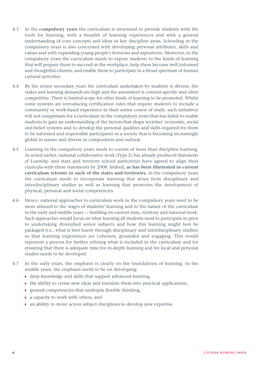- 4.3 In the **compulsory years** the curriculum is structured to provide students with the tools for learning, with a breadth of learning experiences and with a general understanding of core concepts and ideas in key discipline areas. Schooling in the compulsory years is also concerned with developing personal attributes, skills and values and with expanding young people's horizons and aspirations. Moreover, in the compulsory years the curriculum needs to expose students to the kinds of learning that will prepare them to succeed in the workplace, help them become well-informed and thoughtful citizens, and enable them to participate in a broad spectrum of human cultural activities.
- 4.4 By the senior secondary years the curriculum undertaken by students is diverse, the stakes and learning demands are high and the assessment is content-specific and often competitive. There is limited scope for other kinds of learning to be promoted. Whilst some systems are introducing certification rules that require students to include a community or work-based experience in their senior course of study, such initiatives will not compensate for a curriculum in the compulsory years that has failed to enable students to gain an understanding of the factors that shape societies' economic, social and belief systems and to develop the personal qualities and skills required for them to be informed and responsible participants in a society that is becoming increasingly global in nature and diverse in composition and outlook.
- 4.5 Learning in the compulsory years needs to consist of more than discipline learning. As noted earlier, national collaborative work (Type 2) has already produced *Statements of Learning*, and state and territory school authorities have agreed to align their curricula with these statements by 2008. Indeed, **as has been illustrated in current curriculum reforms in each of the states and territories**, in the compulsory years the curriculum needs to incorporate learning that arises from disciplinary and interdisciplinary studies as well as learning that promotes the development of physical, personal and social competencies.
- 4.6 Hence, national approaches to curriculum work in the compulsory years need to be more attuned to the stages of students' learning and to the nature of the curriculum in the early and middle years — building on current state, territory and national work. Such approaches would focus on what learning all students need to participate in prior to undertaking diversified senior subjects and how this learning might best be packaged (i.e., what is best learnt through disciplinary and interdisciplinary studies) so that learning experiences are coherent, grounded and engaging. This would represent a process for further refining what is included in the curriculum and for ensuring that there is adequate time for in-depth learning and for local and personal studies needs to be developed.
- 4.7 In the early years, the emphasis is clearly on the foundations of learning. In the middle years, the emphasis needs to be on developing:
	- deep knowledge and skills that support advanced learning,
	- $\blacktriangleright$  the ability to create new ideas and translate them into practical applications,
	- general competencies that underpin flexible thinking,
	- a capacity to work with others, and
	- an ability to move across subject disciplines to develop new expertise.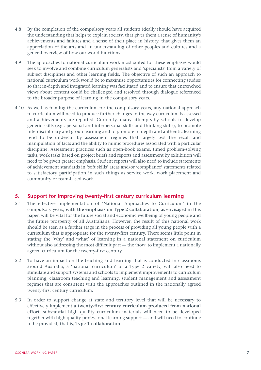- 4.8 By the completion of the compulsory years all students ideally should have acquired the understanding that helps to explain society, that gives them a sense of humanity's achievements and failures and a sense of their place in history, that gives them an appreciation of the arts and an understanding of other peoples and cultures and a general overview of how our world functions.
- 4.9 The approaches to national curriculum work most suited for these emphases would seek to involve and combine curriculum generalists and 'specialists' from a variety of subject disciplines and other learning fields. The objective of such an approach to national curriculum work would be to maximise opportunities for connecting studies so that in-depth and integrated learning was facilitated and to ensure that entrenched views about content could be challenged and resolved through dialogue referenced to the broader purpose of learning in the compulsory years.
- 4.10 As well as framing the curriculum for the compulsory years, any national approach to curriculum will need to produce further changes in the way curriculum is assessed and achievements are reported. Currently, many attempts by schools to develop generic skills (e.g., personal and interpersonal skills and thinking skills), to promote interdisciplinary and group learning and to promote in-depth and authentic learning tend to be undercut by assessment regimes that largely test the recall and manipulation of facts and the ability to mimic procedures associated with a particular discipline. Assessment practices such as open-book exams, timed problem-solving tasks, work tasks based on project briefs and reports and assessment by exhibition will need to be given greater emphasis. Student reports will also need to include statements of achievement standards in 'soft skills' areas and/or 'compliance' statements related to satisfactory participation in such things as service work, work placement and community or team-based work.

#### **5. Support for improving twenty-first century curriculum learning**

- 5.1 The effective implementation of 'National Approaches to Curriculum' in the compulsory years, **with the emphasis on Type 2 collaboration**, as envisaged in this paper, will be vital for the future social and economic wellbeing of young people and the future prosperity of all Australians. However, the result of this national work should be seen as a further stage in the process of providing all young people with a curriculum that is appropriate for the twenty-first century. There seems little point in stating the 'why' and 'what' of learning in a national statement on curriculum without also addressing the most difficult part — the 'how' to implement a nationally agreed curriculum for the twenty-first century.
- 5.2 To have an impact on the teaching and learning that is conducted in classrooms around Australia, a 'national curriculum' of a Type 2 variety, will also need to stimulate and support systems and schools to implement improvements to curriculum planning, classroom teaching and learning, student management and assessment regimes that are consistent with the approaches outlined in the nationally agreed twenty-first century curriculum.
- 5.3 In order to support change at state and territory level that will be necessary to effectively implement **a twenty-first century curriculum produced from national effort**, substantial high quality curriculum materials will need to be developed together with high quality professional learning support — and will need to continue to be provided, that is, **Type 1 collaboration**.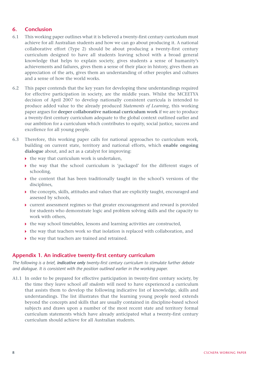#### **6. Conclusion**

- 6.1 This working paper outlines what it is believed a twenty-first century curriculum must achieve for all Australian students and how we can go about producing it. A national collaborative effort (Type 2) should be about producing a twenty-first century curriculum designed to have all students leaving school with a broad general knowledge that helps to explain society, gives students a sense of humanity's achievements and failures, gives them a sense of their place in history, gives them an appreciation of the arts, gives them an understanding of other peoples and cultures and a sense of how the world works.
- 6.2 This paper contends that the key years for developing these understandings required for effective participation in society, are the middle years. Whilst the MCEETYA decision of April 2007 to develop nationally consistent curricula is intended to produce added value to the already produced *Statements of Learning*, this working paper argues for **deeper collaborative national curriculum work** if we are to produce a twenty-first century curriculum adequate to the global context outlined earlier and our ambition for a curriculum which contributes to equity, social justice, success and excellence for all young people.
- 6.3 Therefore, this working paper calls for national approaches to curriculum work, building on current state, territory and national efforts, which **enable ongoing dialogue** about, and act as a catalyst for improving:
	- $\rightarrow$  the way that curriculum work is undertaken,
	- the way that the school curriculum is 'packaged' for the different stages of schooling,
	- the content that has been traditionally taught in the school's versions of the disciplines,
	- the concepts, skills, attitudes and values that are explicitly taught, encouraged and assessed by schools,
	- current assessment regimes so that greater encouragement and reward is provided for students who demonstrate logic and problem solving skills and the capacity to work with others,
	- the way school timetables, lessons and learning activities are constructed,
	- $\triangleright$  the way that teachers work so that isolation is replaced with collaboration, and
	- $\blacktriangleright$  the way that teachers are trained and retrained.

#### **Appendix 1. An indicative twenty-first century curriculum**

*The following is a brief, indicative only twenty-first century curriculum to stimulate further debate and dialogue. It is consistent with the position outlined earlier in the working paper.* 

A1.1 In order to be prepared for effective participation in twenty-first century society, by the time they leave school *all students* will need to have experienced a curriculum that assists them to develop the following indicative list of knowledge, skills and understandings. The list illustrates that the learning young people need extends beyond the concepts and skills that are usually contained in discipline-based school subjects and draws upon a number of the most recent state and territory formal curriculum statements which have already anticipated what a twenty-first century curriculum should achieve for all Australian students.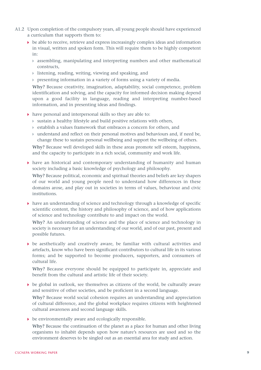- A1.2 Upon completion of the compulsory years, all young people should have experienced a curriculum that supports them to:
	- $\rightarrow$  be able to receive, retrieve and express increasingly complex ideas and information in visual, written and spoken form. This will require them to be highly competent in:
		- assembling, manipulating and interpreting numbers and other mathematical constructs,
		- listening, reading, writing, viewing and speaking, and
		- $\triangleright$  presenting information in a variety of forms using a variety of media.

**Why?** Because creativity, imagination, adaptability, social competence, problem identification and solving, and the capacity for informed decision making depend upon a good facility in language, reading and interpreting number-based information, and in presenting ideas and findings.

- have personal and interpersonal skills so they are able to:
	- sustain a healthy lifestyle and build positive relations with others,
	- establish a values framework that embraces a concern for others, and
	- understand and reflect on their personal motives and behaviours and, if need be, change these to sustain personal wellbeing and support the wellbeing of others.

**Why?** Because well developed skills in these areas promote self esteem, happiness, and the capacity to participate in a rich social, community and work life.

 $\rightarrow$  have an historical and contemporary understanding of humanity and human society including a basic knowledge of psychology and philosophy.

**Why?** Because political, economic and spiritual theories and beliefs are key shapers of our world and young people need to understand how differences in these domains arose, and play out in societies in terms of values, behaviour and civic institutions.

 $\triangleright$  have an understanding of science and technology through a knowledge of specific scientific content, the history and philosophy of science, and of how applications of science and technology contribute to and impact on the world.

**Why?** An understanding of science and the place of science and technology in society is necessary for an understanding of our world, and of our past, present and possible futures.

 $\triangleright$  be aesthetically and creatively aware, be familiar with cultural activities and artefacts, know who have been significant contributors to cultural life in its various forms; and be supported to become producers, supporters, and consumers of cultural life.

**Why?** Because everyone should be equipped to participate in, appreciate and benefit from the cultural and artistic life of their society.

 $\triangleright$  be global in outlook, see themselves as citizens of the world, be culturally aware and sensitive of other societies, and be proficient in a second language.

**Why?** Because world social cohesion requires an understanding and appreciation of cultural difference, and the global workplace requires citizens with heightened cultural awareness and second language skills.

be environmentally aware and ecologically responsible.

**Why?** Because the continuation of the planet as a place for human and other living organisms to inhabit depends upon how nature's resources are used and so the environment deserves to be singled out as an essential area for study and action.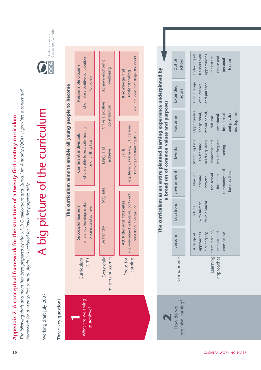**Appendix 2. A conceptual framework for the structure of a twenty-first century curriculum**

*The following draft document has been prepared by the U.K.'s Qualifications and Curriculum Authority (QCA). It provides a conceptual framework for a twenty-first century. Again it is included for indicative purposes only.*

Curriculum Authority Qualifications and



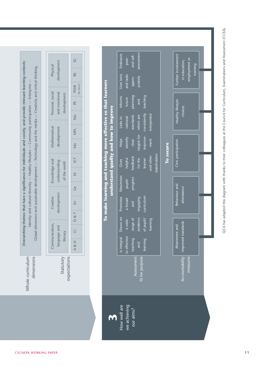|                                                  | SC               |
|--------------------------------------------------|------------------|
| development<br>Physical                          | RE               |
|                                                  | PSHE<br>PW EW+FC |
| Personal, social<br>and emotional<br>development | 닏                |
|                                                  | Mu               |
| <b>Mathematical</b><br>development               | MFL              |
|                                                  | $\overline{M}$ a |
|                                                  | <b>ICT</b>       |
| Knowledge and<br>understanding<br>of the world   | Ë                |
|                                                  | En Ge            |
| development<br>Creative                          |                  |
|                                                  |                  |
| Communication,<br>language and<br>literacy       | Ci D&T           |
|                                                  | & D<br>τ         |
| statutory                                        | axpectations     |